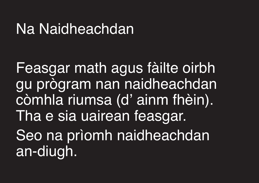## Na Naidheachdan

Feasgar math agus fàilte oirbh gu prògram nan naidheachdan còmhla riumsa (d' ainm fhèin). Tha e sia uairean feasgar. Seo na prìomh naidheachdan an-diugh.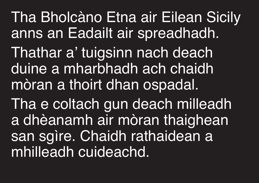Tha Bholcàno Etna air Eilean Sicily anns an Eadailt air spreadhadh. Thathar a' tuigsinn nach deach duine a mharbhadh ach chaidh mòran a thoirt dhan ospadal.

Tha e coltach gun deach milleadh a dhèanamh air mòran thaighean san sgìre. Chaidh rathaidean a mhilleadh cuideachd.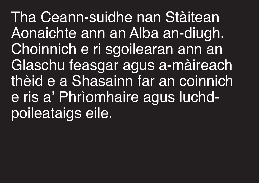Tha Ceann-suidhe nan Stàitean Aonaichte ann an Alba an-diugh. Choinnich e ri sgoilearan ann an Glaschu feasgar agus a-màireach thèid e a Shasainn far an coinnich e ris a' Phrìomhaire agus luchdpoileataigs eile.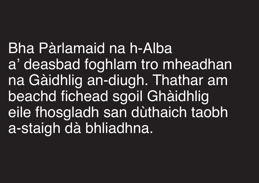Bha Pàrlamaid na h-Alba a' deasbad foghlam tro mheadhan na Gàidhlig an-diugh. Thathar am beachd fichead sgoil Ghàidhlig eile fhosgladh san dùthaich taobh a-staigh dà bhliadhna.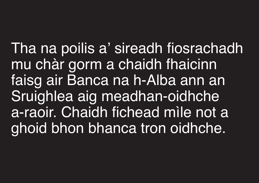Tha na poilis a' sireadh fiosrachadh mu chàr gorm a chaidh fhaicinn faisg air Banca na h-Alba ann an Sruighlea aig meadhan-oidhche a-raoir. Chaidh fichead mìle not a ghoid bhon bhanca tron oidhche.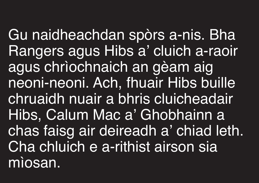Gu naidheachdan spòrs a-nis. Bha Rangers agus Hibs a' cluich a-raoir agus chrìochnaich an gèam aig neoni-neoni. Ach, fhuair Hibs buille chruaidh nuair a bhris cluicheadair Hibs, Calum Mac a' Ghobhainn a chas faisg air deireadh a' chiad leth. Cha chluich e a-rithist airson sia mìosan.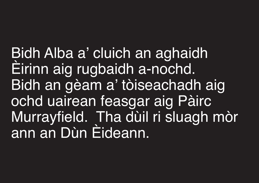Bidh Alba a' cluich an aghaidh Èirinn aig rugbaidh a-nochd. Bidh an gèam a' tòiseachadh aig ochd uairean feasgar aig Pàirc Murrayfield. Tha dùil ri sluagh mòr ann an Dùn Èideann.